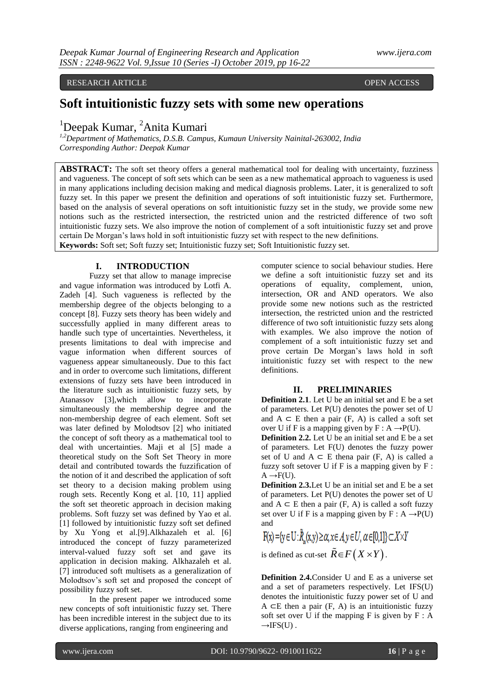RESEARCH ARTICLE **CONTRACT ARTICLE** 

# **Soft intuitionistic fuzzy sets with some new operations**

<sup>1</sup>Deepak Kumar, <sup>2</sup>Anita Kumari

*1,2Department of Mathematics, D.S.B. Campus, Kumaun University Nainital-263002, India Corresponding Author: Deepak Kumar*

**ABSTRACT:** The soft set theory offers a general mathematical tool for dealing with uncertainty, fuzziness and vagueness. The concept of soft sets which can be seen as a new mathematical approach to vagueness is used in many applications including decision making and medical diagnosis problems. Later, it is generalized to soft fuzzy set. In this paper we present the definition and operations of soft intuitionistic fuzzy set. Furthermore, based on the analysis of several operations on soft intuitionistic fuzzy set in the study, we provide some new notions such as the restricted intersection, the restricted union and the restricted difference of two soft intuitionistic fuzzy sets. We also improve the notion of complement of a soft intuitionistic fuzzy set and prove certain De Morgan's laws hold in soft intuitionistic fuzzy set with respect to the new definitions. **Keywords:** Soft set; Soft fuzzy set; Intuitionistic fuzzy set; Soft Intuitionistic fuzzy set.

# **I. INTRODUCTION**

Fuzzy set that allow to manage imprecise and vague information was introduced by Lotfi A. Zadeh [4]. Such vagueness is reflected by the membership degree of the objects belonging to a concept [8]. Fuzzy sets theory has been widely and successfully applied in many different areas to handle such type of uncertainties. Nevertheless, it presents limitations to deal with imprecise and vague information when different sources of vagueness appear simultaneously. Due to this fact and in order to overcome such limitations, different extensions of fuzzy sets have been introduced in the literature such as intuitionistic fuzzy sets, by Atanassov [3],which allow to incorporate simultaneously the membership degree and the non-membership degree of each element. Soft set was later defined by Molodtsov [2] who initiated the concept of soft theory as a mathematical tool to deal with uncertainties. Maji et al [5] made a theoretical study on the Soft Set Theory in more detail and contributed towards the fuzzification of the notion of it and described the application of soft set theory to a decision making problem using rough sets. Recently Kong et al. [10, 11] applied the soft set theoretic approach in decision making problems. Soft fuzzy set was defined by Yao et al. [1] followed by intuitionistic fuzzy soft set defined by Xu Yong et al.[9].Alkhazaleh et al. [6] introduced the concept of fuzzy parameterized interval-valued fuzzy soft set and gave its application in decision making. Alkhazaleh et al. [7] introduced soft multisets as a generalization of Molodtsov's soft set and proposed the concept of possibility fuzzy soft set.

In the present paper we introduced some new concepts of soft intuitionistic fuzzy set. There has been incredible interest in the subject due to its diverse applications, ranging from engineering and

computer science to social behaviour studies. Here we define a soft intuitionistic fuzzy set and its operations of equality, complement, union, intersection, OR and AND operators. We also provide some new notions such as the restricted intersection, the restricted union and the restricted difference of two soft intuitionistic fuzzy sets along with examples. We also improve the notion of complement of a soft intuitionistic fuzzy set and prove certain De Morgan's laws hold in soft intuitionistic fuzzy set with respect to the new definitions.

#### **II. PRELIMINARIES**

**Definition 2.1**. Let U be an initial set and E be a set of parameters. Let P(U) denotes the power set of U and  $A \subset E$  then a pair (F, A) is called a soft set over U if F is a mapping given by  $F : A \rightarrow P(U)$ .

**Definition 2.2.** Let U be an initial set and E be a set of parameters. Let F(U) denotes the fuzzy power set of U and  $A \subset E$  thena pair (F, A) is called a fuzzy soft setover U if  $F$  is a mapping given by  $F$ :  $A \rightarrow F(U)$ .

**Definition 2.3.**Let U be an initial set and E be a set of parameters. Let P(U) denotes the power set of U and  $A \subset E$  then a pair (F, A) is called a soft fuzzy set over U if F is a mapping given by  $F : A \rightarrow P(U)$ and

 $F(x) = {y \in U : \tilde{R}_x(x,y) \geq \alpha, x \in A, y \in U, \alpha \in [0,1]} \subset X \times Y$ 

is defined as cut-set  $\tilde{R} \in F(X \times Y)$ .

**Definition 2.4.**Consider U and E as a universe set and a set of parameters respectively. Let IFS(U) denotes the intuitionistic fuzzy power set of U and A  $\subset$ E then a pair (F, A) is an intuitionistic fuzzy soft set over U if the mapping  $F$  is given by  $F : A$  $\rightarrow$ IFS(U).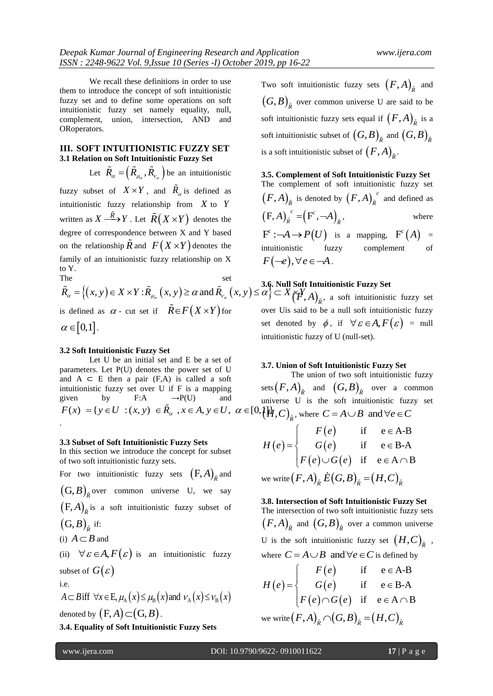We recall these definitions in order to use them to introduce the concept of soft intuitionistic fuzzy set and to define some operations on soft intuitionistic fuzzy set namely equality, null, complement, union, intersection, AND and ORoperators.

#### **III. SOFT INTUITIONISTIC FUZZY SET 3.1 Relation on Soft Intuitionistic Fuzzy Set**

Let  $\tilde{R}_{\alpha} = (\tilde{R}_{\mu_{\alpha}}, \tilde{R}_{\nu_{\alpha}})$  be an intuitionistic fuzzy subset of  $X \times Y$ , and  $\tilde{R}_{\alpha}$  is defined as intuitionistic fuzzy relationship from *X* to *Y* written as  $X \xrightarrow{\tilde{R}} Y$ . Let  $\tilde{R}(X \times Y)$  denotes the degree of correspondence between X and Y based on the relationship  $\tilde{R}$  and  $F(X \times Y)$  denotes the family of an intuitionistic fuzzy relationship on X to Y.

The set  $\tilde{R}_\alpha = \left\{ (x, y) \in X \times Y : \tilde{R}_{\mu_\alpha}(x, y) \geq \alpha \text{ and } \tilde{R}_{\nu_\alpha}(x, y) \leq \alpha' \right\} \subset X \underset{\beta}{\sim} \begin{cases} 3.6 & \text{Null Soft Intuitio} \\ \infty & \text{set} \\ \in \mathbb{R}^n, \text{Aut.} \end{cases}$ is defined as  $\alpha$  - cut set if  $\tilde{R} \in F(X \times Y)$  for  $\alpha \in [0,1]$ .

#### **3.2 Soft Intuitionistic Fuzzy Set**

Let U be an initial set and E be a set of parameters. Let P(U) denotes the power set of U and  $A \subseteq E$  then a pair (F,A) is called a soft intuitionistic fuzzy set over U if F is a mapping given by F:A  $\rightarrow P(U)$  and multionistic fuzzy set over U if F is a mapping<br>given by F:A  $\rightarrow$ P(U) and unive<br> $F(x) = \{ y \in U : (x, y) \in \tilde{R}_{\alpha}, x \in A, y \in U, \alpha \in [0,1]\}$  $\tilde{R}_{\alpha}$ ,  $x \in A$ ,  $y \in U$ ,  $\alpha$  $F(x) = \{ y \in U : (x, y) \in \tilde{R}_{\alpha}, x \in A, y \in U, \alpha \in [0, \mathcal{H}, C)_{\tilde{R}} \}$ , where  $C = A \cup B$  and  $\forall e \in C$ 

#### **3.3 Subset of Soft Intuitionistic Fuzzy Sets**

In this section we introduce the concept for subset of two soft intuitionistic fuzzy sets.

For two intuitionistic fuzzy sets  $(F, A)_{\tilde{R}}$  and  $(G, B)$ <sub> $\bar{R}$ </sub> over common universe U, we say  $(F, A)_{\tilde{R}}$  is a soft intuitionistic fuzzy subset of

$$
\big(\mathbf{G},B\big)_{\tilde{R}}\,\,\mathrm{if}\,\,
$$

(i) 
$$
A \subset B
$$
 and

(ii)  $\forall \varepsilon \in A, F(\varepsilon)$  is an intuitionistic fuzzy subset of  $G(\varepsilon)$ 

i.e.

 $A \subset B$  iff  $\forall x \in E, \mu_A(x) \leq \mu_B(x)$  and  $v_A(x) \leq v_B(x)$ denoted by  $(F, A) \subset (G, B)$  .

**3.4. Equality of Soft Intuitionistic Fuzzy Sets**

Two soft intuitionistic fuzzy sets  $(F, A)_{\tilde{R}}$  and  $(G, B)_{\tilde{R}}$  over common universe U are said to be soft intuitionistic fuzzy sets equal if  $(F, A)_{\tilde{R}}$  is a soft intuitionistic subset of  $\left(G, B\right)_{\tilde{R}}$  and  $\left(G, B\right)_{\tilde{R}}$ is a soft intuitionistic subset of  $\left(F,A\right)_{\tilde{R}}$  .

**3.5. Complement of Soft Intuitionistic Fuzzy Set** The complement of soft intuitionistic fuzzy set  $(F, A)_{\tilde{R}}$  is denoted by  $(F, A)_{\tilde{R}}^{\ c}$  $(F, A)_{\tilde{R}}^c$  and defined as  $(F, A)_{\tilde{R}}^c = (F^c, \neg A)_{\tilde{R}}$ where  $F^c : \neg A \rightarrow P(U)$  is a mapping,  $F^c(A) =$ intuitionistic fuzzy complement of  $F(\neg e), \forall e \in \neg A$ .

#### **3.6. Null Soft Intuitionistic Fuzzy Set**

 $(\check{F}, A)_{\tilde{R}}$ , a soft intuitionistic fuzzy set over Uis said to be a null soft intuitionistic fuzzy set denoted by  $\phi$ , if  $\forall \varepsilon \in A, F(\varepsilon) = \text{null}$ intuitionistic fuzzy of U (null-set).

#### **3.7. Union of Soft Intuitionistic Fuzzy Set**

The union of two soft intuitionistic fuzzy sets  $(F, A)_{\tilde{R}}$  and  $(G, B)_{\tilde{R}}$  over a common universe U is the soft intuitionistic fuzzy set

$$
H(e) = \begin{cases} F(e) & \text{if } e \in A \setminus B \\ F(e) & \text{if } e \in A \setminus B \\ F(e) \cup G(e) & \text{if } e \in B \setminus A \\ F(e) \cup G(e) & \text{if } e \in A \cap B \end{cases}
$$
  
we write 
$$
(F, A)_{\tilde{R}} \tilde{E}(G, B)_{\tilde{R}} = (H, C)_{\tilde{R}}
$$

#### **3.8. Intersection of Soft Intuitionistic Fuzzy Set**

The intersection of two soft intuitionistic fuzzy sets  $(F, A)_{\tilde{R}}$  and  $(G, B)_{\tilde{R}}$  over a common universe U is the soft intuitionistic fuzzy set  $(H,C)_{\tilde{R}}$  , where  $C = A \cup B$  and  $\forall e \in C$  is defined by<br>  $\begin{cases} F(e) & \text{if } e \in A-B \end{cases}$ 

$$
H(e) = \begin{cases} F(e) & \text{if } e \in A-B \\ G(e) & \text{if } e \in B-A \\ F(e) \cap G(e) & \text{if } e \in A \cap B \end{cases}
$$
  
we write  $(F, A)_{\bar{R}} \cap (G, B)_{\bar{R}} = (H, C)_{\bar{R}}$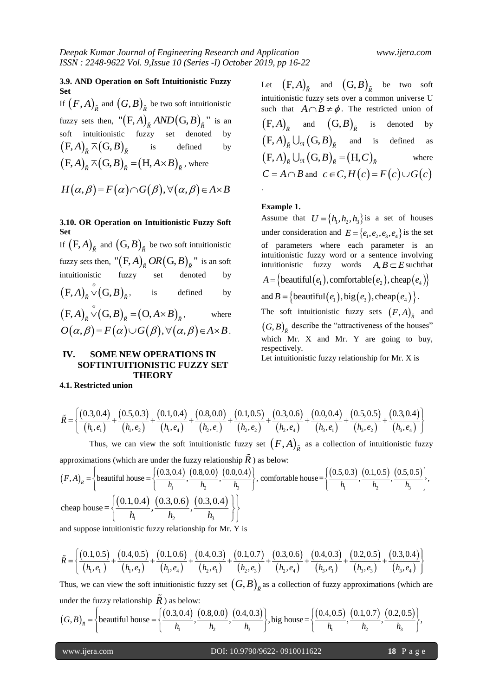#### **3.9. AND Operation on Soft Intuitionistic Fuzzy Set**

If  $(F, A)_{\tilde{R}}$  and  $(G, B)_{\tilde{R}}$  be two soft intuitionistic fuzzy sets then,  $\binom{n}{F,A}_{\tilde{R}}$  *AND* $(G,B)_{\tilde{R}}$  is an soft intuitionistic fuzzy set denoted  $(F, A)_{\tilde{R}} \overline{\wedge} (G, B)_{\tilde{R}}$  is defined by  $(F, A)_{\tilde{R}} \wedge (G, B)_{\tilde{R}} = (H, A \times B)_{\tilde{R}}$ , where

$$
H(\alpha, \beta) = F(\alpha) \cap G(\beta), \forall (\alpha, \beta) \in A \times B
$$

# **3.10. OR Operation on Intuitionistic Fuzzy Soft Set**

If  $(F, A)_{\tilde{R}}$  and  $(G, B)_{\tilde{R}}$  be two soft intuitionistic fuzzy sets then,  $\left( \mathsf{F},A\right) _{\tilde{R}}OR\big( \mathsf{G},B\big) _{\tilde{R}}$  " is an soft intuitionistic fuzzy set denoted by  $(F, A)_{\tilde{\rho}}^{\circ} \vee (G, B)$  $(A)_{\tilde{R}} \vee (G, B)_{\tilde{R}}$ , is defined by  $(F, A)_{\tilde{R}}^{\circ} \vee (G, B)_{\tilde{R}} = (O, A \times B)$  $A)_{\tilde{R}}^{\circ} \vee (G, B)_{\tilde{R}} = (O, A \times B)_{\tilde{R}}^{\circ},$ where  $O(\alpha, \beta) = F(\alpha) \cup G(\beta), \forall (\alpha, \beta) \in A \times B$ .

# **IV. SOME NEW OPERATIONS IN SOFTINTUITIONISTIC FUZZY SET THEORY**

**4.1. Restricted union**

Let  $(F, A)_{\overline{R}}$  and  $(G, B)_{\overline{R}}$  be two soft intuitionistic fuzzy sets over a common universe U such that  $A \cap B \neq \phi$ . The restricted union of  $(F, A)_{\tilde{R}}$  and  $(G, B)_{\tilde{R}}$  is denoted by  $(F, A)_{\tilde{R}} \cup_{\Re} (G, B)_{\tilde{R}}$  and is defined as  $(F, A)_{\tilde{R}} \bigcup_{\Re} (G, B)_{\tilde{R}} = (H, C)_{\tilde{R}}$ where  $C = A \cap B$  and  $c \in C$ ,  $H(c) = F(c) \cup G(c)$ .

#### **Example 1.**

Assume that  $U = \{h_1, h_2, h_3\}$  is a set of houses under consideration and  $E = \{e_1, e_2, e_3, e_4\}$  is the set of parameters where each parameter is an intuitionistic fuzzy word or a sentence involving intuitionistic fuzzy words  $A, B \subset E$  such that  $A = \{$  beautiful( $e_1$ ), comfortable( $e_2$ ), cheap( $e_4$ )}  $A = \{\text{beam}(e_1), \text{common}(\overline{e_2}), \text{green}(e_4)\}$ <br>and  $B = \{\text{beam}(e_1), \text{big}(e_3), \text{clean}(e_4)\}$ . The soft intuitionistic fuzzy sets  $(F, A)_{\overline{R}}$  and  $(G, B)$ <sub> $\tilde{R}$ </sub> describe the "attractiveness of the houses" which Mr. X and Mr. Y are going to buy, respectively.

Let intuitionistic fuzzy relationship for Mr. X is

**35.1 THEORY**  
\n**4.1. Restricted union**  
\n
$$
\tilde{R} = \left\{ \frac{(0.3, 0.4)}{(h_1, e_1)} + \frac{(0.5, 0.3)}{(h_1, e_2)} + \frac{(0.1, 0.4)}{(h_1, e_4)} + \frac{(0.8, 0.0)}{(h_2, e_1)} + \frac{(0.1, 0.5)}{(h_2, e_2)} + \frac{(0.3, 0.6)}{(h_2, e_4)} + \frac{(0.0, 0.4)}{(h_3, e_1)} + \frac{(0.5, 0.5)}{(h_3, e_2)} + \frac{(0.3, 0.4)}{(h_3, e_4)} \right\}
$$
\nThus, we can view the soft intuitionistic fuzzy set  $(F, A)$ , as a collection of intuitionistic fuzzy

Thus, we can view the soft intuitionistic fuzzy set  $(F, A)_{\tilde{R}}$  as a collection of intuitionistic fuzzy approximations (which are under the fuzzy relationship  $\tilde{R}$  ) as below:

$$
\begin{bmatrix}\n(h_1, e_1) & (h_1, e_2) & (h_1, e_4) & (h_2, e_1) & (h_2, e_2) & (h_2, e_4) & (h_3, e_1) & (h_3, e_2) & (h_3, e_4)\n\end{bmatrix}
$$
\nThus, we can view the soft intuitionistic fuzzy set  $(F, A)_{\tilde{R}}$  as a collection of intuitionistic fuzzy approximations (which are under the fuzzy relationship  $\tilde{R}$ ) as below:  
\n
$$
(F, A)_{\tilde{R}} = \begin{cases}\n\text{beautiful house} = \left\{\frac{(0.3, 0.4)}{h_1}, \frac{(0.8, 0.0)}{h_2}, \frac{(0.0, 0.4)}{h_3}\right\}, \text{ comfortable house} = \left\{\frac{(0.5, 0.3)}{h_1}, \frac{(0.1, 0.5)}{h_2}, \frac{(0.5, 0.5)}{h_3}\right\}, \\
\text{cheap house} = \left\{\frac{(0.1, 0.4)}{h_1}, \frac{(0.3, 0.6)}{h_2}, \frac{(0.3, 0.4)}{h_3}\right\}\n\end{cases}
$$

and suppose intuitionistic fuzzy relationship for Mr. Y is

change house = { 
$$
\frac{1}{h_1}
$$
,  $\frac{1}{h_2}$ ,  $\frac{1}{h_3}$  } } }\n

\nand suppose intuitionistic fuzzy relationship for Mr. Y is

\n
$$
\tilde{R} = \left\{ \frac{(0.1, 0.5)}{(h_1, e_1)} + \frac{(0.4, 0.5)}{(h_1, e_3)} + \frac{(0.1, 0.6)}{(h_1, e_4)} + \frac{(0.4, 0.3)}{(h_2, e_1)} + \frac{(0.1, 0.7)}{(h_2, e_3)} + \frac{(0.3, 0.6)}{(h_2, e_4)} + \frac{(0.4, 0.3)}{(h_3, e_1)} + \frac{(0.2, 0.5)}{(h_3, e_3)} + \frac{(0.3, 0.4)}{(h_3, e_4)} \right\}
$$
\nThus, we see view the coefficient of fuzzy approximations (which are

Thus, we can view the soft intuitionistic fuzzy set  $(G, B)_{\hat{R}}$  as a collection of fuzzy approximations (which are under the fuzzy relationship  $\tilde{R}$ ) as below:

$$
\begin{aligned}\n&\left[\begin{array}{cc} (h_1, e_1) & (h_1, e_3) & (h_1, e_4) & (h_2, e_1) & (h_2, e_3) & (h_2, e_4) & (h_3, e_1) & (h_3, e_3) & (h_3, e_4) \end{array}\right] \\
\text{Thus, we can view the soft intuitionistic fuzzy set } \left(G, B\right)_{\bar{R}} \text{ as a collection of fuzzy approximations (which are under the fuzzy relationship } \tilde{R} \text{) as below:} \\
&\left(G, B\right)_{\bar{R}} = \left\{\text{beautiful house} = \left\{\frac{(0.3, 0.4)}{h_1}, \frac{(0.8, 0.0)}{h_2}, \frac{(0.4, 0.3)}{h_3}\right\}, \text{big house} = \left\{\frac{(0.4, 0.5)}{h_1}, \frac{(0.1, 0.7)}{h_2}, \frac{(0.2, 0.5)}{h_3}\right\}, \text{if the same value is } \tilde{R} \text{ is the same value.}\n\end{aligned}
$$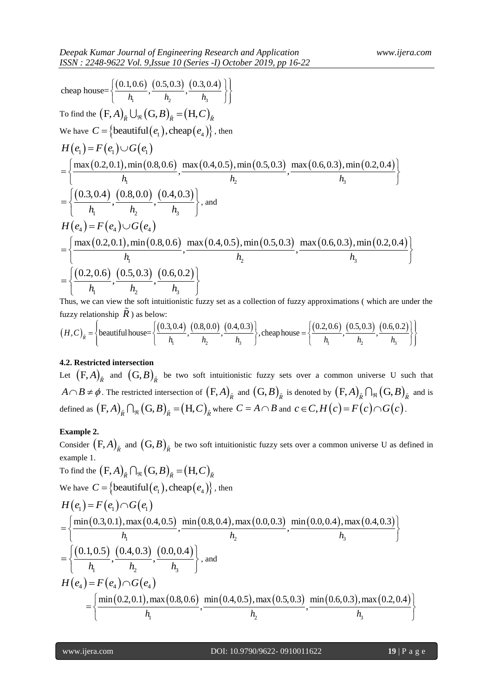155N : 2248-9622 Vol. 9,15sue 10 (Series -1) October 2019, pp 16-22  
\ncheap house=
$$
\left\{\frac{(0.1,0.6)}{h_1}, \frac{(0.5,0.3)}{h_2}, \frac{(0.3,0.4)}{h_3}\right\}
$$
\nTo find the (F,A)<sub>8</sub> (G, B)<sub>8</sub> = (H,C)<sub>8</sub>  
\nWe have  $C = \{\text{beaufif}(e_i), \text{cheq}(e_i)\}, \text{then}$   
\n
$$
H(e_i) = F(e_i) \cup G(e_i)
$$
\n
$$
= \left\{\frac{\max(0.2,0.1), \min(0.8,0.6)}{h_1}, \frac{\max(0.4,0.5), \min(0.5,0.3)}{h_2}, \frac{\max(0.6,0.3), \min(0.2,0.4)}{h_3}\right\}
$$
\n
$$
= \left\{\frac{\max(0.2,0.1), \min(0.8,0.6)}{h_1}, \frac{(0.8,0.0)}{h_2}, \frac{(0.4,0.3)}{h_3}\right\}, \text{and}
$$
\n
$$
H(e_i) = F(e_i) \cup G(e_i)
$$
\n
$$
= \left\{\frac{\max(0.2,0.1), \min(0.8,0.6)}{h_1}, \frac{(0.8,0.6)}{h_2}, \frac{(0.4,0.3)}{h_3}\right\}
$$
\n
$$
= \left\{\frac{(0.2,0.6)}{h_1}, \frac{(0.5,0.3)}{h_2}, \frac{(0.6,0.2)}{h_1}, \frac{(0.8,0.0)}{h_2}, \frac{(0.4,0.3)}{h_3}\right\}, \text{the equation of fuzzy set as a collection of fuzzy approximations (which are under theThus, we can view the soft multiplication\n
$$
(H, C)_k = \left\{\text{beaufif}(\text{h} \text{h} \text{h} \text{as below: } \frac{(0.3,0.4)}{h_1}, \frac{(0.8,0.0)}{h_2}, \frac{(0.4,0.3)}{h_3}\right\}, \text{the equation of the
$$
$$

Thus, we can view the soft intuitionistic fuzzy set as a collection of fuzzy approximations ( which are under the fuzzy relationship  $\tilde{R}$ ) as below:  $\left\{\n\begin{array}{c}\n\lambda_1, \lambda_2, \lambda_3, \lambda_4, \lambda_5, \lambda_6, \lambda_7, \lambda_8, \lambda_9\n\end{array}\n\right\}$ <br>
can view the soft intuitionistic fuzzy set as a collection of fuzzy approximations (which are under the ionship  $\vec{R}$ ) as below:<br>  $\left\{\n\begin{array}{c}\n\lambda_$ 

Thus, we can view the soft intuitionistic fuzzy set as a collection of fuzzy approximations (which are under the fuzzy relationship 
$$
\tilde{R}
$$
) as below:  
\n
$$
(H,C)_{\tilde{R}} = \left\{ \text{beautiful house} = \left\{ \frac{(0.3,0.4)}{h_1}, \frac{(0.8,0.0)}{h_2}, \frac{(0.4,0.3)}{h_3} \right\}, \text{cheap house} = \left\{ \frac{(0.2,0.6)}{h_1}, \frac{(0.5,0.3)}{h_2}, \frac{(0.6,0.2)}{h_3} \right\} \right\}
$$

# **4.2. Restricted intersection**

Let  $(F, A)_{\tilde{R}}$  and  $(G, B)_{\tilde{R}}$  be two soft intuitionistic fuzzy sets over a common universe U such that  $A \cap B \neq \phi$ . The restricted intersection of  $(F, A)_{\tilde{R}}$  and  $(G, B)_{\tilde{R}}$  is denoted by  $(F, A)_{\tilde{R}} \cap_{\Re} (G, B)_{\tilde{R}}$  and is defined as  $(F, A)_{\tilde{R}} \cap_{\Re} (G, B)_{\tilde{R}} = (H, C)_{\tilde{R}}$  where  $C = A \cap B$  and  $c \in C, H(c) = F(c) \cap G(c)$ .

### **Example 2.**

Consider  $(F, A)_{\tilde{R}}$  and  $(G, B)_{\tilde{R}}$  be two soft intuitionistic fuzzy sets over a common universe U as defined in example 1.

example 1.  
\nTo find the 
$$
(F, A)_{\bar{R}} \cap_{\Re} (G, B)_{\bar{R}} = (H, C)_{\bar{R}}
$$
  
\nWe have  $C = \{\text{beautiful}(e_1), \text{cheap}(e_4)\}, \text{ then}$   
\n
$$
H(e_1) = F(e_1) \cap G(e_1)
$$
\n
$$
= \left\{ \frac{\min(0.3, 0.1), \max(0.4, 0.5), \min(0.8, 0.4), \max(0.0, 0.3), \min(0.0, 0.4), \max(0.4, 0.3),}{h_1}\right\}
$$
\n
$$
= \left\{ \frac{(0.1, 0.5), (0.4, 0.3), (0.0, 0.4), (0.0, 0.4),}{h_1} \right\}
$$
\nand\n
$$
H(e_4) = F(e_4) \cap G(e_4)
$$
\n
$$
= \left\{ \frac{\min(0.2, 0.1), \max(0.8, 0.6), \min(0.4, 0.5), \max(0.5, 0.3), \min(0.6, 0.3), \max(0.2, 0.4),}{h_1} \right\}
$$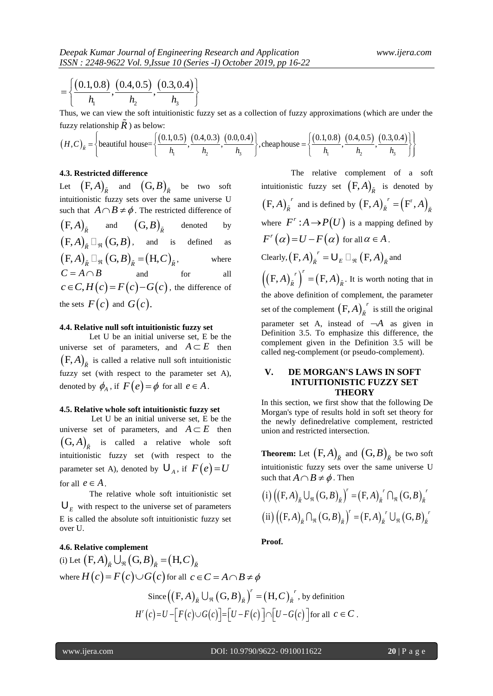$$
= \left\{ \frac{(0.1, 0.8)}{h_1}, \frac{(0.4, 0.5)}{h_2}, \frac{(0.3, 0.4)}{h_3} \right\}
$$

Thus, we can view the soft intuitionistic fuzzy set as a collection of fuzzy approximations (which are under the fuzzy relationship  $\tilde{R}$  ) as below:  $\left\{\n\begin{array}{c}\n\lambda_1, & h_1 \\
\hline\n\end{array}\n\right\}$ <br>
can view the soft intuitionistic fuzzy set as a collection of fuzzy approximations (which are under the ionship  $\tilde{R}$ ) as below:<br>  $\left\{\n\begin{array}{c}\n\lambda_1, & h_1 \\
\hline\n\end{array}\n\right\}$ ,  $\left\{\n$ 

Thus, we can view the soft intuitionistic fuzzy set as a collection of fuzzy approximations (which are under the fuzzy relationship 
$$
\tilde{R}
$$
) as below:  
\n
$$
(H,C)_{\tilde{R}} = \left\{ \text{beautiful house} = \left\{ \frac{(0.1,0.5)}{h_1}, \frac{(0.4,0.3)}{h_2}, \frac{(0.0,0.4)}{h_3} \right\}, \text{ cheap house} = \left\{ \frac{(0.1,0.8)}{h_1}, \frac{(0.4,0.5)}{h_2}, \frac{(0.3,0.4)}{h_3} \right\} \right\}
$$

#### **4.3. Restricted difference**

Let  $(F, A)_{\tilde{R}}$  and  $(G, B)_{\tilde{R}}$  be two soft intuitionistic fuzzy sets over the same universe U such that  $A \cap B \neq \phi$ . The restricted difference of  $\left(\mathrm{F\!A}\right)_{\tilde{R}}$ and  $\left(\mathrm{G},B\right)_{\tilde{R}}$ denoted by  $(F, A)_{\tilde{R}} \Box_{\mathfrak{N}}(G, B)$ , and is defined as  $(F, A)_{\tilde{R}} \Box_{\Re} (G, B)_{\tilde{R}} = (H, C)_{\tilde{R}}$ where  $C = A \cap B$ and for all  $c \in C, H(c) = F(c) - G(c)$ , the difference of the sets  $F(c)$  and  $G(c)$ .

#### **4.4. Relative null soft intuitionistic fuzzy set**

Let U be an initial universe set, E be the universe set of parameters, and  $A \subset E$  then  $(F, A)$ <sub> $\tilde{R}$ </sub> is called a relative null soft intuitionistic fuzzy set (with respect to the parameter set A), denoted by  $\phi_A$ , if  $F(e) = \phi$  for all  $e \in A$ .

#### **4.5. Relative whole soft intuitionistic fuzzy set**

Let U be an initial universe set, E be the universe set of parameters, and  $A \subset E$  then  $(G, A)$ <sub> $\tilde{R}$ </sub> is called a relative whole soft intuitionistic fuzzy set (with respect to the parameter set A), denoted by  $U_A$ , if  $F(e) = U$ for all  $e \in A$ .

The relative whole soft intuitionistic set  $\mathbf{U}_E$  with respect to the universe set of parameters E is called the absolute soft intuitionistic fuzzy set over U.

**EVELONG (DATA)** (DATA) (DATA) (DATA) (DATA) (DATA) (DATA) (DATA) (DATA) (DATA) (DATA) (DATA) (DATA) (DATA) (DATA) (DATA) (DATA) (DATA) (DATA) (DATA) (DATA) (DATA) (DATA) (DATA) (DATA) (DATA) (DATA) (DATA) (DATA) (DATA) The relative complement of a soft intuitionistic fuzzy set  $(F, A)_{\tilde{R}}$  is denoted by  $(F, A)_{\tilde{R}}^r$  $(A)_{\tilde{R}}^r$  and is defined by  $(F, A)_{\tilde{R}}^r = (F^r, A)_{\tilde{R}}^r$ where  $F^r$  :  $A \rightarrow P(U)$  is a mapping defined by  $F^r(\alpha) = U - F(\alpha)$  for all  $\alpha \in A$ . Clearly,  $(F, A)_{\tilde{R}}^r = \bigcup_{E} \Box_{\Re} (F, A)_{\tilde{R}}^r$  and  $((F, A)_{\tilde{R}}^r)^r = (F, A)$  $(A)_{\tilde{R}}^{r}$ <sup>r</sup> $=$  $(F, A)_{\tilde{R}}$ . It is worth noting that in the above definition of complement, the parameter set of the complement  $(F, A)_{\tilde{R}}^{\ \ r}$  $A\big)_{\tilde{R}}^r$  is still the original parameter set A, instead of  $-A$  as given in Definition 3.5. To emphasize this difference, the complement given in the Definition 3.5 will be called neg-complement (or pseudo-complement).

# **V. DE MORGAN'S LAWS IN SOFT INTUITIONISTIC FUZZY SET THEORY**

In this section, we first show that the following De Morgan's type of results hold in soft set theory for the newly definedrelative complement, restricted union and restricted intersection.

**Theorem:** Let  $(F, A)_{\tilde{R}}$  and  $(G, B)_{\tilde{R}}$  be two soft intuitionistic fuzzy sets over the same universe U

such that 
$$
A \cap B \neq \phi
$$
. Then  
\n(i)  $((F, A)_{\tilde{R}} \cup_{\tilde{R}} (G, B)_{\tilde{R}})^r = (F, A)_{\tilde{R}}^r \cap_{\tilde{R}} (G, B)_{\tilde{R}}^r$   
\n(ii)  $((F, A)_{\tilde{R}} \cap_{\tilde{R}} (G, B)_{\tilde{R}})^r = (F, A)_{\tilde{R}}^r \cup_{\tilde{R}} (G, B)_{\tilde{R}}^r$ 

**Proof.**

**4.6. Relative complement**  
\n(i) Let 
$$
(F, A)_{\tilde{R}} \bigcup_{\Re} (G, B)_{\tilde{R}} = (H, C)_{\tilde{R}}
$$
  
\nwhere  $H(c) = F(c) \cup G(c)$  for all  $c \in C = A \cap B \neq \emptyset$   
\nSince  $((F, A)_{\tilde{R}} \bigcup_{\Re} (G, B)_{\tilde{R}})^r = (H, C)_{\tilde{R}}^r$ , by definition  
\n $H^r(c) = U - [F(c) \cup G(c)] = [U - F(c)] \cap [U - G(c)]$  for all  $c \in C$ .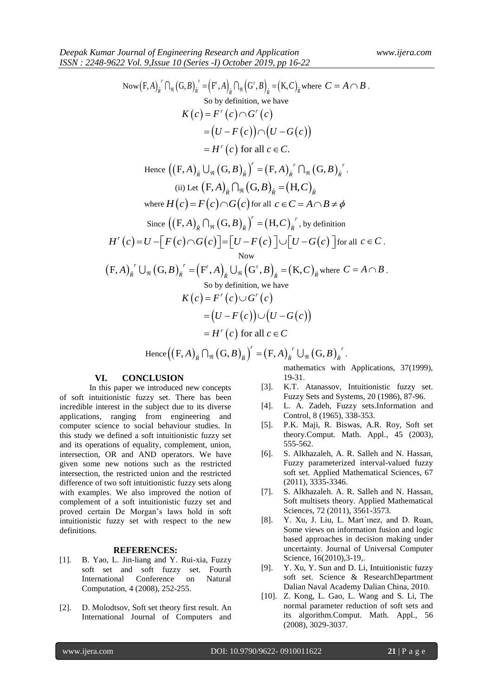$\overline{\text{Now}}(F,A)_{\tilde{R}}^{\ r} \bigcap_{\Re} (G,B)_{\tilde{R}}^{\ r} = (F^r,A)_{\tilde{R}} \bigcap_{\Re} (G^r,B)_{\tilde{R}} = (K,C)_{\tilde{R}} \text{ where } C = A \cap B.$ So by definition, we have So by definition, we keep  $K(c) = F^r(c) \cap G^r(c)$  $= (U - F(c)) \cap (U - G(c))$  $f'(c)$  for all  $c \in C$ .  $H^r(c)$  for all  $c \in C$ .  $H(C)$  for all  $C \in C$ .<br>
Hence  $((F, A)_{\tilde{R}} \cup_{\Re} (G, B)_{\tilde{R}})' = (F, A)_{\tilde{R}}' \cap_{\Re} (G, B)_{\tilde{R}}'$  $P = H^{-}(c)$  for an  $c \in C$ .<br> *A*)<sub> $\bar{R}$ </sub>  $\bigcup_{\Re} (\mathbf{G}, B)_{\bar{R}} \big)^{r} = (\mathbf{F}, A)_{\bar{R}}^{r} \bigcap_{\Re} (\mathbf{G}, B)_{\bar{R}}^{r}$ . (ii) Let  $(F, A)_{\tilde{R}} \cap_{\Re} (G, B)_{\tilde{R}} = (H, C)_{\tilde{R}}$ where  $H(c) = F(c) \cap G(c)$  for all  $c \in C = A \cap B \neq \phi$ Since  $((F, A)_{\overline{R}} \bigcap_{\Re} (G, B)_{\overline{R}})^r = (H, C)_{\overline{R}}^r$ , by definition  $(c) = U - |F(c) \cap G(c)| = |U - F(c)| \cup |U - G(c)|$ Since  $((F, A)_{\tilde{R}} \cap_{\Re} (G, B)_{\tilde{R}})' = (H, C)_{\tilde{R}}'$ , by definition<br>  $H^{r}(c) = U - [F(c) \cap G(c)] = [U - F(c)] \cup [U - G(c)]$  for all  $c \in$ for all  $c \in C$ . Now r r F, G, F , G , K, *r r R R R R R A B A B C* where *C A B* . So by definition, we have So by definition, we keep  $K(c) = F^r(c) \cup G^r(c)$  $= (U - F(c)) \cup (U - G(c))$  $f'(c)$  for all  $H^r(c)$  for all  $c \in C$  $H(C)$  for all  $c \in C$ <br>Hence  $((F, A)_{\tilde{R}} \cap_{\Re} (G, B)_{\tilde{R}})' = (F, A)_{\tilde{R}}' \cup_{\Re} (G, B)_{\tilde{R}}'$  $P = H \, (c) \text{ for all } c \in C$ <br> *A*  $_{R} \bigcap_{\Re} (G, B)_{R} \big)^{r} = (F, A)_{R}^{r} \bigcup_{\Re} (G, B)_{R}^{r}.$ 

#### **VI. CONCLUSION**

In this paper we introduced new concepts of soft intuitionistic fuzzy set. There has been incredible interest in the subject due to its diverse applications, ranging from engineering and computer science to social behaviour studies. In this study we defined a soft intuitionistic fuzzy set and its operations of equality, complement, union, intersection, OR and AND operators. We have given some new notions such as the restricted intersection, the restricted union and the restricted difference of two soft intuitionistic fuzzy sets along with examples. We also improved the notion of complement of a soft intuitionistic fuzzy set and proved certain De Morgan's laws hold in soft intuitionistic fuzzy set with respect to the new definitions.

#### **REFERENCES:**

- [1]. B. Yao, L. Jin-liang and Y. Rui-xia, Fuzzy soft set and soft fuzzy set. Fourth International Conference on Natural Computation, 4 (2008), 252-255.
- [2]. D. Molodtsov, Soft set theory first result. An International Journal of Computers and

mathematics with Applications, 37(1999), 19-31.

- [3]. K.T. Atanassov, Intuitionistic fuzzy set. Fuzzy Sets and Systems, 20 (1986), 87-96.
- [4]. L. A. Zadeh, Fuzzy sets.Information and Control, 8 (1965), 338-353.
- [5]. P.K. Maji, R. Biswas, A.R. Roy, Soft set theory.Comput. Math. Appl., 45 (2003), 555-562.
- [6]. S. Alkhazaleh, A. R. Salleh and N. Hassan, Fuzzy parameterized interval-valued fuzzy soft set. Applied Mathematical Sciences, 67 (2011), 3335-3346.
- [7]. S. Alkhazaleh. A. R. Salleh and N. Hassan, Soft multisets theory. Applied Mathematical Sciences, 72 (2011), 3561-3573.
- [8]. Y. Xu, J. Liu, L. Mart´ınez, and D. Ruan, Some views on information fusion and logic based approaches in decision making under uncertainty. Journal of Universal Computer Science, 16(2010), 3-19,.
- [9]. Y. Xu, Y. Sun and D. Li, Intuitionistic fuzzy soft set. Science & ResearchDepartment Dalian Naval Academy Dalian China, 2010.
- [10]. Z. Kong, L. Gao, L. Wang and S. Li, The normal parameter reduction of soft sets and its algorithm.Comput. Math. Appl., 56 (2008), 3029-3037.